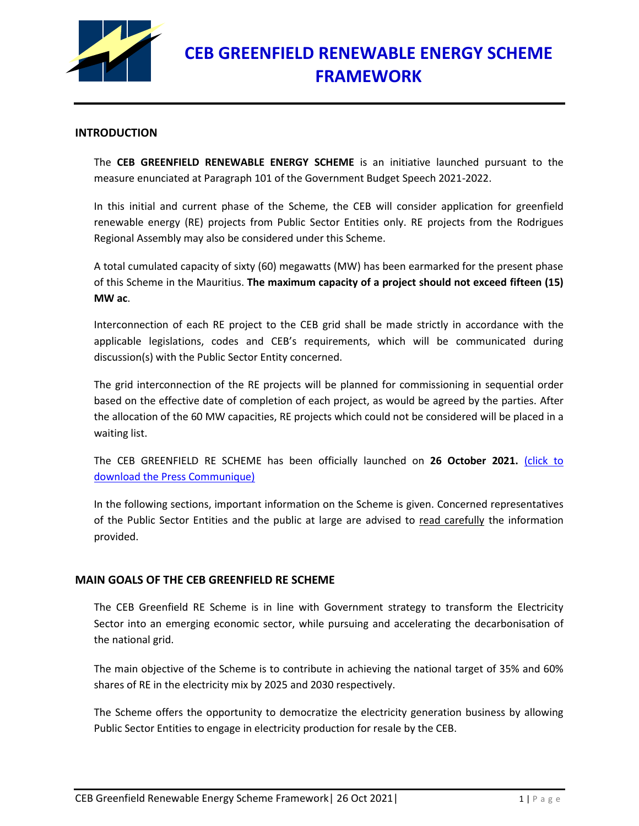

## **INTRODUCTION**

The **CEB GREENFIELD RENEWABLE ENERGY SCHEME** is an initiative launched pursuant to the measure enunciated at Paragraph 101 of the Government Budget Speech 2021-2022.

In this initial and current phase of the Scheme, the CEB will consider application for greenfield renewable energy (RE) projects from Public Sector Entities only. RE projects from the Rodrigues Regional Assembly may also be considered under this Scheme.

A total cumulated capacity of sixty (60) megawatts (MW) has been earmarked for the present phase of this Scheme in the Mauritius. **The maximum capacity of a project should not exceed fifteen (15) MW ac**.

Interconnection of each RE project to the CEB grid shall be made strictly in accordance with the applicable legislations, codes and CEB's requirements, which will be communicated during discussion(s) with the Public Sector Entity concerned.

The grid interconnection of the RE projects will be planned for commissioning in sequential order based on the effective date of completion of each project, as would be agreed by the parties. After the allocation of the 60 MW capacities, RE projects which could not be considered will be placed in a waiting list.

The CEB GREENFIELD RE SCHEME has been officially launched on **26 October 2021.** [\(click to](https://ceb.mu/files/files/Communique/CEB_COMMUNIQUE_LAUNCHING%20OF%20CEB%20GREENFIELD%20RENEWABLE%20SCHEME.pdf)  [download the Press Communique\)](https://ceb.mu/files/files/Communique/CEB_COMMUNIQUE_LAUNCHING%20OF%20CEB%20GREENFIELD%20RENEWABLE%20SCHEME.pdf)

In the following sections, important information on the Scheme is given. Concerned representatives of the Public Sector Entities and the public at large are advised to read carefully the information provided.

## **MAIN GOALS OF THE CEB GREENFIELD RE SCHEME**

The CEB Greenfield RE Scheme is in line with Government strategy to transform the Electricity Sector into an emerging economic sector, while pursuing and accelerating the decarbonisation of the national grid.

The main objective of the Scheme is to contribute in achieving the national target of 35% and 60% shares of RE in the electricity mix by 2025 and 2030 respectively.

The Scheme offers the opportunity to democratize the electricity generation business by allowing Public Sector Entities to engage in electricity production for resale by the CEB.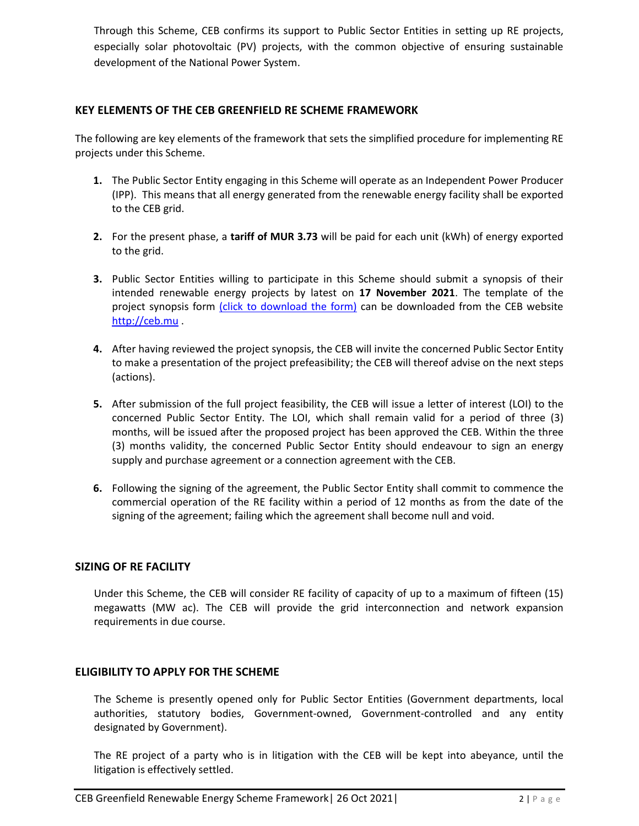Through this Scheme, CEB confirms its support to Public Sector Entities in setting up RE projects, especially solar photovoltaic (PV) projects, with the common objective of ensuring sustainable development of the National Power System.

## **KEY ELEMENTS OF THE CEB GREENFIELD RE SCHEME FRAMEWORK**

The following are key elements of the framework that sets the simplified procedure for implementing RE projects under this Scheme.

- **1.** The Public Sector Entity engaging in this Scheme will operate as an Independent Power Producer (IPP). This means that all energy generated from the renewable energy facility shall be exported to the CEB grid.
- **2.** For the present phase, a **tariff of MUR 3.73** will be paid for each unit (kWh) of energy exported to the grid.
- **3.** Public Sector Entities willing to participate in this Scheme should submit a synopsis of their intended renewable energy projects by latest on **17 November 2021**. The template of the project synopsis form [\(click to download the form\)](https://ceb.mu/files/files/Schemes/2021-10-25%20Template%20Project%20Synopsis%20Form%20for%20CEB%20Greenfield%20RE%20Scheme.pdf) can be downloaded from the CEB website [http://ceb.mu](http://ceb.mu/).
- **4.** After having reviewed the project synopsis, the CEB will invite the concerned Public Sector Entity to make a presentation of the project prefeasibility; the CEB will thereof advise on the next steps (actions).
- **5.** After submission of the full project feasibility, the CEB will issue a letter of interest (LOI) to the concerned Public Sector Entity. The LOI, which shall remain valid for a period of three (3) months, will be issued after the proposed project has been approved the CEB. Within the three (3) months validity, the concerned Public Sector Entity should endeavour to sign an energy supply and purchase agreement or a connection agreement with the CEB.
- **6.** Following the signing of the agreement, the Public Sector Entity shall commit to commence the commercial operation of the RE facility within a period of 12 months as from the date of the signing of the agreement; failing which the agreement shall become null and void.

## **SIZING OF RE FACILITY**

Under this Scheme, the CEB will consider RE facility of capacity of up to a maximum of fifteen (15) megawatts (MW ac). The CEB will provide the grid interconnection and network expansion requirements in due course.

## **ELIGIBILITY TO APPLY FOR THE SCHEME**

The Scheme is presently opened only for Public Sector Entities (Government departments, local authorities, statutory bodies, Government-owned, Government-controlled and any entity designated by Government).

The RE project of a party who is in litigation with the CEB will be kept into abeyance, until the litigation is effectively settled.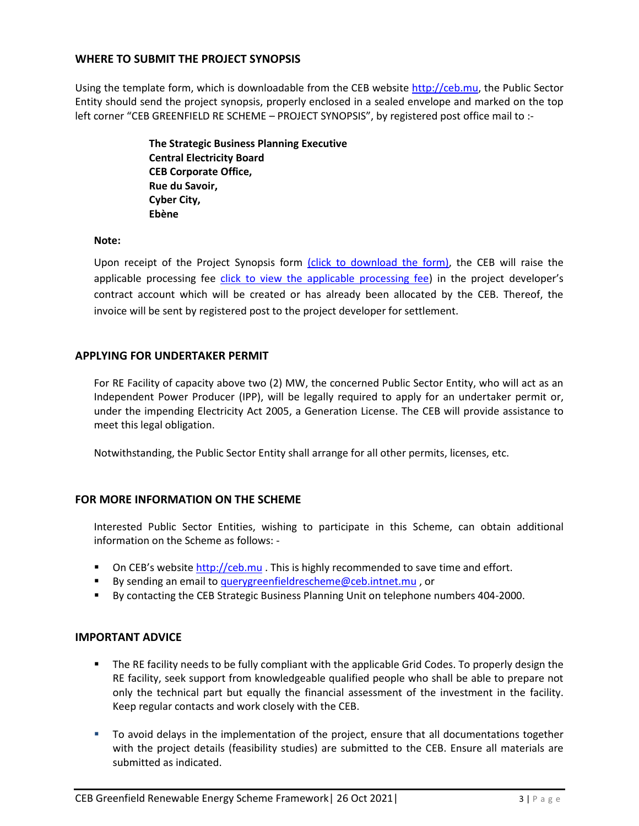## **WHERE TO SUBMIT THE PROJECT SYNOPSIS**

Using the template form, which is downloadable from the CEB websit[e http://ceb.mu,](http://ceb.mu/) the Public Sector Entity should send the project synopsis, properly enclosed in a sealed envelope and marked on the top left corner "CEB GREENFIELD RE SCHEME - PROJECT SYNOPSIS", by registered post office mail to :-

> **The Strategic Business Planning Executive Central Electricity Board CEB Corporate Office, Rue du Savoir, Cyber City, Ebène**

#### **Note:**

Upon receipt of the Project Synopsis form [\(click to download the form\),](https://ceb.mu/files/files/Schemes/2021-10-25%20Template%20Project%20Synopsis%20Form%20for%20CEB%20Greenfield%20RE%20Scheme.pdf) the CEB will raise the applicable processing fee [click to view the applicable processing fee](https://ceb.mu/files/files/Schemes/2021-10-25%20Processing%20fees%20under%20the%20CEB%20Greenfield%20Renewable%20Energy%20Sch....pdf)) in the project developer's contract account which will be created or has already been allocated by the CEB. Thereof, the invoice will be sent by registered post to the project developer for settlement.

## **APPLYING FOR UNDERTAKER PERMIT**

For RE Facility of capacity above two (2) MW, the concerned Public Sector Entity, who will act as an Independent Power Producer (IPP), will be legally required to apply for an undertaker permit or, under the impending Electricity Act 2005, a Generation License. The CEB will provide assistance to meet this legal obligation.

Notwithstanding, the Public Sector Entity shall arrange for all other permits, licenses, etc.

# **FOR MORE INFORMATION ON THE SCHEME**

Interested Public Sector Entities, wishing to participate in this Scheme, can obtain additional information on the Scheme as follows: -

- On CEB's website [http://ceb.mu](http://ceb.mu/) . This is highly recommended to save time and effort.
- By sending an email to [querygreenfieldrescheme@ceb.intnet.mu](mailto:querygreenfieldrescheme@ceb.intnet.mu), or
- By contacting the CEB Strategic Business Planning Unit on telephone numbers 404-2000.

## **IMPORTANT ADVICE**

- **The RE facility needs to be fully compliant with the applicable Grid Codes. To properly design the** RE facility, seek support from knowledgeable qualified people who shall be able to prepare not only the technical part but equally the financial assessment of the investment in the facility. Keep regular contacts and work closely with the CEB.
- To avoid delays in the implementation of the project, ensure that all documentations together with the project details (feasibility studies) are submitted to the CEB. Ensure all materials are submitted as indicated.